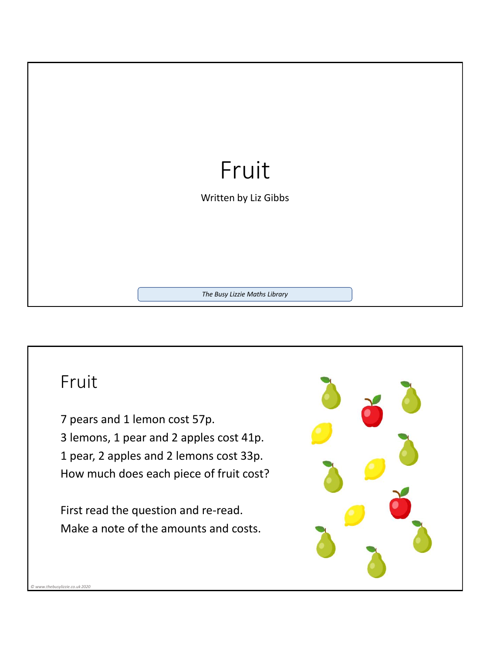

## Fruit

*© www.thebusylizzie.co.uk 2020*

7 pears and 1 lemon cost 57p. 3 lemons, 1 pear and 2 apples cost 41p. 1 pear, 2 apples and 2 lemons cost 33p. How much does each piece of fruit cost?

First read the question and re-read. Make a note of the amounts and costs.

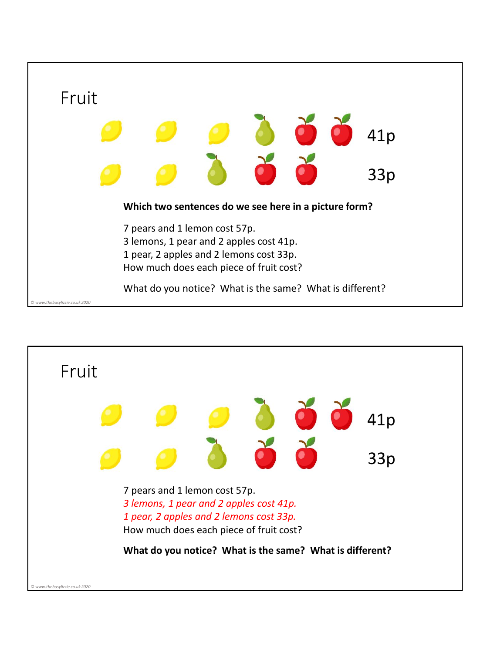